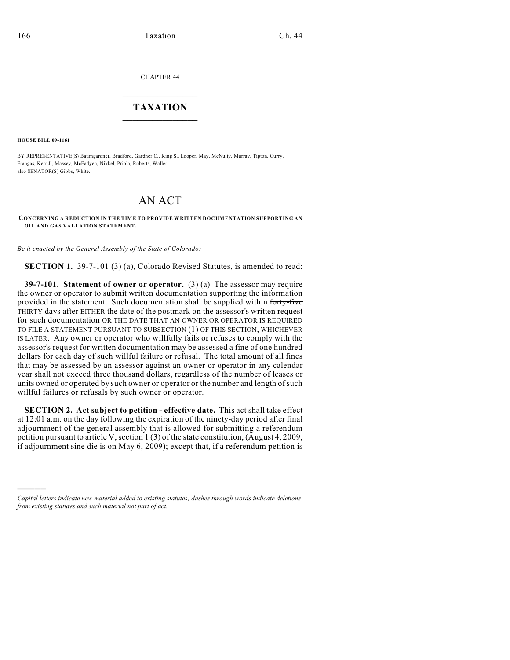CHAPTER 44

## $\overline{\phantom{a}}$  . The set of the set of the set of the set of the set of the set of the set of the set of the set of the set of the set of the set of the set of the set of the set of the set of the set of the set of the set o **TAXATION**  $\_$

**HOUSE BILL 09-1161**

)))))

BY REPRESENTATIVE(S) Baumgardner, Bradford, Gardner C., King S., Looper, May, McNulty, Murray, Tipton, Curry, Frangas, Kerr J., Massey, McFadyen, Nikkel, Priola, Roberts, Waller; also SENATOR(S) Gibbs, White.

## AN ACT

**CONCERNING A REDUCTION IN THE TIME TO PROVIDE WRITTEN DOCUMENTATION SUPPORTING AN OIL AND GAS VALUATION STATEMENT.**

*Be it enacted by the General Assembly of the State of Colorado:*

**SECTION 1.** 39-7-101 (3) (a), Colorado Revised Statutes, is amended to read:

**39-7-101. Statement of owner or operator.** (3) (a) The assessor may require the owner or operator to submit written documentation supporting the information provided in the statement. Such documentation shall be supplied within forty-five THIRTY days after EITHER the date of the postmark on the assessor's written request for such documentation OR THE DATE THAT AN OWNER OR OPERATOR IS REQUIRED TO FILE A STATEMENT PURSUANT TO SUBSECTION (1) OF THIS SECTION, WHICHEVER IS LATER. Any owner or operator who willfully fails or refuses to comply with the assessor's request for written documentation may be assessed a fine of one hundred dollars for each day of such willful failure or refusal. The total amount of all fines that may be assessed by an assessor against an owner or operator in any calendar year shall not exceed three thousand dollars, regardless of the number of leases or units owned or operated by such owner or operator or the number and length of such willful failures or refusals by such owner or operator.

**SECTION 2. Act subject to petition - effective date.** This act shall take effect at 12:01 a.m. on the day following the expiration of the ninety-day period after final adjournment of the general assembly that is allowed for submitting a referendum petition pursuant to article V, section 1 (3) of the state constitution, (August 4, 2009, if adjournment sine die is on May 6, 2009); except that, if a referendum petition is

*Capital letters indicate new material added to existing statutes; dashes through words indicate deletions from existing statutes and such material not part of act.*